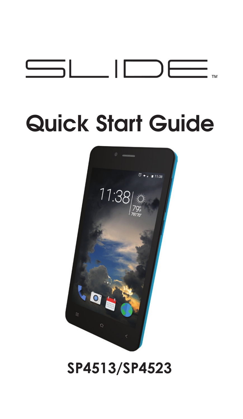

# **Quick Start Guide**



## **SP4513/SP4523**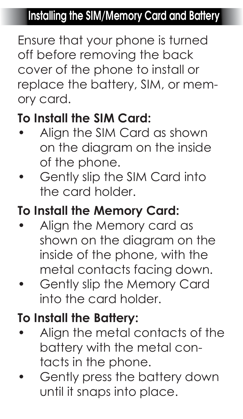#### **Installing the SIM/Memory Card and Battery**

Ensure that your phone is turned off before removing the back cover of the phone to install or replace the battery, SIM, or memory card.

#### **To Install the SIM Card:**

- Align the SIM Card as shown on the diagram on the inside of the phone.
- Gently slip the SIM Card into the card holder.

#### **To Install the Memory Card:**

- Align the Memory card as shown on the diagram on the inside of the phone, with the metal contacts facing down.
- Gently slip the Memory Card into the card holder.

## **To Install the Battery:**

- Align the metal contacts of the battery with the metal contacts in the phone.
- Gently press the battery down until it snaps into place.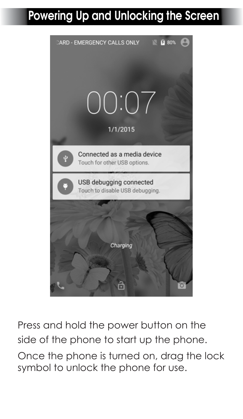## **Powering Up and Unlocking the Screen**



Press and hold the power button on the side of the phone to start up the phone. Once the phone is turned on, drag the lock symbol to unlock the phone for use.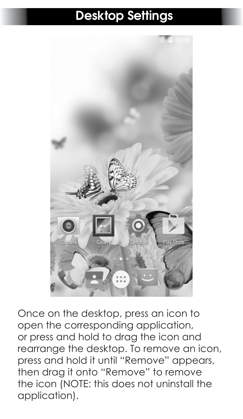#### **Desktop Settings**



Once on the desktop, press an icon to open the corresponding application, or press and hold to drag the icon and rearrange the desktop. To remove an icon, press and hold it until "Remove" appears, then drag it onto "Remove" to remove the icon (NOTE: this does not uninstall the application).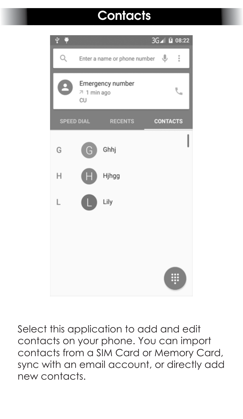## **Contacts**



Select this application to add and edit contacts on your phone. You can import contacts from a SIM Card or Memory Card, sync with an email account, or directly add new contacts.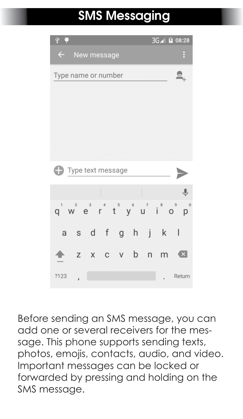## **SMS Messaging**



Before sending an SMS message, you can add one or several receivers for the message. This phone supports sending texts, photos, emojis, contacts, audio, and video. Important messages can be locked or forwarded by pressing and holding on the SMS message.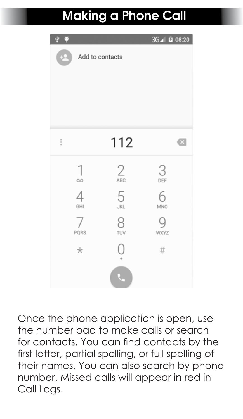## **Making a Phone Call**



Once the phone application is open, use the number pad to make calls or search for contacts. You can find contacts by the first letter, partial spelling, or full spelling of their names. You can also search by phone number. Missed calls will appear in red in Call Logs.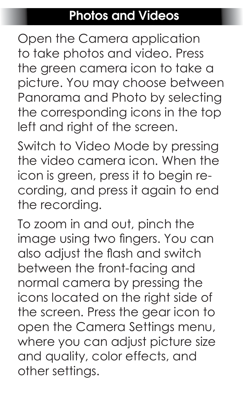#### **Photos and Videos**

Open the Camera application to take photos and video. Press the green camera icon to take a picture. You may choose between Panorama and Photo by selecting the corresponding icons in the top left and right of the screen.

Switch to Video Mode by pressing the video camera icon. When the icon is green, press it to begin recording, and press it again to end the recording.

To zoom in and out, pinch the image using two fingers. You can also adjust the flash and switch between the front-facing and normal camera by pressing the icons located on the right side of the screen. Press the gear icon to open the Camera Settings menu, where you can adjust picture size and quality, color effects, and other settings.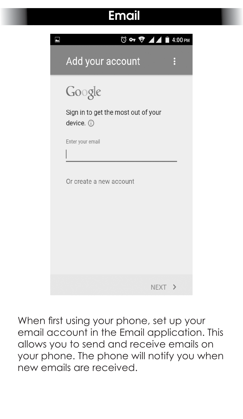#### **Email**

| <b>◎ ⊶ ♥ ⊿⊿ ■</b> 4:00 PM                     |  |
|-----------------------------------------------|--|
| Add your account                              |  |
| Google<br>Sign in to get the most out of your |  |
| device. 0                                     |  |
| Enter your email                              |  |
| Or create a new account                       |  |
|                                               |  |
| NEXT >                                        |  |

When first using your phone, set up your email account in the Email application. This allows you to send and receive emails on your phone. The phone will notify you when new emails are received.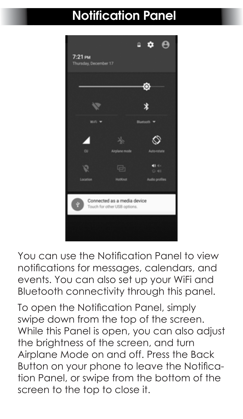## **Notification Panel**



You can use the Notification Panel to view notifications for messages, calendars, and events. You can also set up your WiFi and Bluetooth connectivity through this panel.

To open the Notification Panel, simply swipe down from the top of the screen. While this Panel is open, you can also adjust the brightness of the screen, and turn Airplane Mode on and off. Press the Back Button on your phone to leave the Notification Panel, or swipe from the bottom of the screen to the top to close it.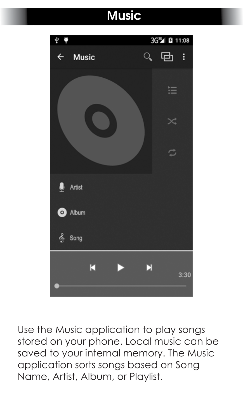## **Music**



Use the Music application to play songs stored on your phone. Local music can be saved to your internal memory. The Music application sorts songs based on Song Name, Artist, Album, or Playlist.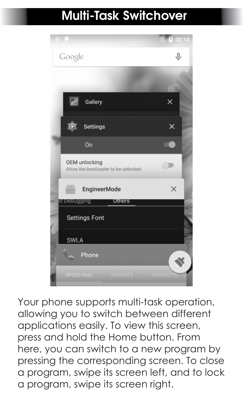#### **Multi-Task Switchover**



Your phone supports multi-task operation, allowing you to switch between different applications easily. To view this screen, press and hold the Home button. From here, you can switch to a new program by pressing the corresponding screen. To close a program, swipe its screen left, and to lock a program, swipe its screen right.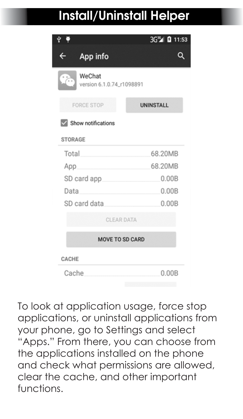## **Install/Uninstall Helper**

|                                               | 3G <sup>16</sup> B 11:53 |  |  |  |
|-----------------------------------------------|--------------------------|--|--|--|
| ←<br>App info                                 |                          |  |  |  |
| WeChat<br>$\sim$<br>version 6.1.0.74_r1098891 |                          |  |  |  |
| <b>FORCE STOP</b>                             | <b>UNINSTALL</b>         |  |  |  |
| $\vee$ Show notifications                     |                          |  |  |  |
| <b>STORAGE</b>                                |                          |  |  |  |
| Total                                         | 68.20MB                  |  |  |  |
| 68.20MB<br>App                                |                          |  |  |  |
| SD card app                                   | 0.00B                    |  |  |  |
| 0.00B<br>Data                                 |                          |  |  |  |
| SD card data                                  | 0.00B                    |  |  |  |
| <b>CLEAR DATA</b>                             |                          |  |  |  |
| <b>MOVE TO SD CARD</b>                        |                          |  |  |  |
| CACHE                                         |                          |  |  |  |
| Cache                                         | 0.00B                    |  |  |  |

To look at application usage, force stop applications, or uninstall applications from your phone, go to Settings and select "Apps." From there, you can choose from the applications installed on the phone and check what permissions are allowed, clear the cache, and other important functions.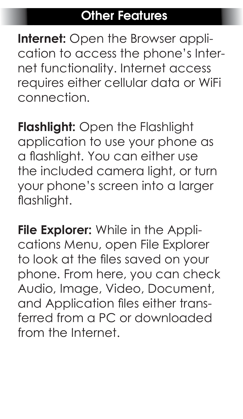#### **Other Features**

**Internet:** Open the Browser application to access the phone's Internet functionality. Internet access requires either cellular data or WiFi connection.

**Flashlight:** Open the Flashlight application to use your phone as a flashlight. You can either use the included camera light, or turn your phone's screen into a larger flashlight.

**File Explorer:** While in the Applications Menu, open File Explorer to look at the files saved on your phone. From here, you can check Audio, Image, Video, Document, and Application files either transferred from a PC or downloaded from the Internet.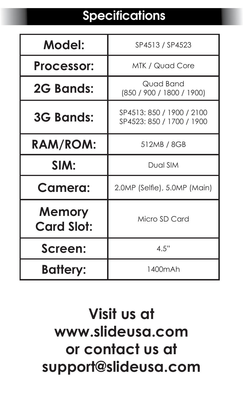## **Specifications**

| Model:                      | SP4513 / SP4523                                        |  |
|-----------------------------|--------------------------------------------------------|--|
| Processor:                  | MTK / Quad Core                                        |  |
| 2G Bands:                   | Quad Band<br>(850 / 900 / 1800 / 1900)                 |  |
| <b>3G Bands:</b>            | SP4513: 850 / 1900 / 2100<br>SP4523: 850 / 1700 / 1900 |  |
| <b>RAM/ROM:</b>             | 512MB / 8GB                                            |  |
| SIM:                        | Dual SIM                                               |  |
| Camera:                     | 2.0MP (Selfie), 5.0MP (Main)                           |  |
| Memory<br><b>Card Slot:</b> | Micro SD Card                                          |  |
| Screen:                     | 4.5"                                                   |  |
| <b>Battery:</b>             | 1400mAh                                                |  |

## **Visit us at www.slideusa.com or contact us at support@slideusa.com**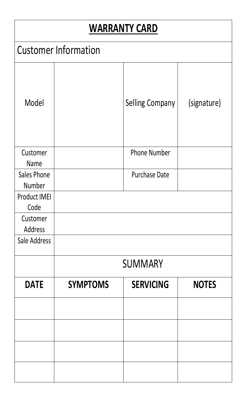#### **WARRANTY CARD**

|                       |                             | WAKKAN I Y CAKD  |              |
|-----------------------|-----------------------------|------------------|--------------|
|                       | <b>Customer Information</b> |                  |              |
| Model                 |                             | Selling Company  | (signature)  |
| Customer<br>Name      |                             | Phone Number     |              |
| Sales Phone<br>Number |                             | Purchase Date    |              |
| Product IMEI<br>Code  |                             |                  |              |
| Customer<br>Address   |                             |                  |              |
| Sale Address          |                             |                  |              |
|                       |                             | <b>SUMMARY</b>   |              |
| <b>DATE</b>           | <b>SYMPTOMS</b>             | <b>SERVICING</b> | <b>NOTES</b> |
|                       |                             |                  |              |
|                       |                             |                  |              |
|                       |                             |                  |              |
|                       |                             |                  |              |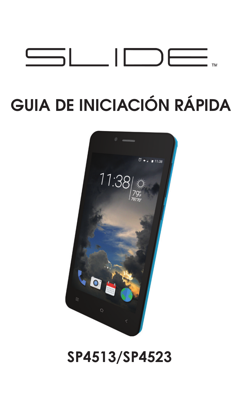

## **GUIA DE INICIACIÓN RÁPIDA**



## **SP4513/SP4523**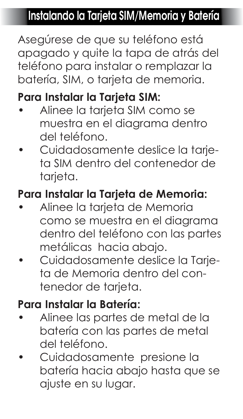### **Instalando la Tarjeta SIM/Memoria y Batería**

Asegúrese de que su teléfono está apagado y quite la tapa de atrás del teléfono para instalar o remplazar la batería, SIM, o tarjeta de memoria.

#### **Para Instalar la Tarjeta SIM:**

- Alinee la tarjeta SIM como se muestra en el diagrama dentro del teléfono.
- Cuidadosamente deslice la tarjeta SIM dentro del contenedor de tarieta.

#### **Para Instalar la Tarjeta de Memoria:**

- Alinee la tarjeta de Memoria como se muestra en el diagrama dentro del teléfono con las partes metálicas hacia abajo.
- Cuidadosamente deslice la Tarjeta de Memoria dentro del contenedor de tarieta.

#### **Para Instalar la Batería:**

- Alinee las partes de metal de la batería con las partes de metal del teléfono.
- Cuidadosamente presione la batería hacia abajo hasta que se ajuste en su lugar.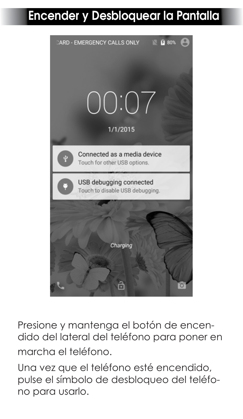#### **Encender y Desbloquear la Pantalla**



Presione y mantenga el botón de encendido del lateral del teléfono para poner en marcha el teléfono.

Una vez que el teléfono esté encendido, pulse el símbolo de desbloqueo del teléfono para usarlo.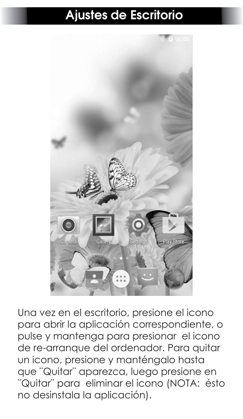#### **Ajustes de Escritorio**



Una vez en el escritorio, presione el icono para abrir la aplicación correspondiente, o pulse y mantenga para presionar el icono de re-arranque del ordenador. Para quitar un icono, presione y manténgalo hasta que ¨Quitar¨ aparezca, luego presione en ¨Quitar¨ para eliminar el icono (NOTA: ésto no desinstala la aplicación).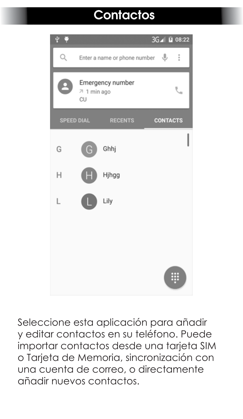## **Contactos**



Seleccione esta aplicación para añadir y editar contactos en su teléfono. Puede importar contactos desde una tarjeta SIM o Tarjeta de Memoria, sincronización con una cuenta de correo, o directamente añadir nuevos contactos.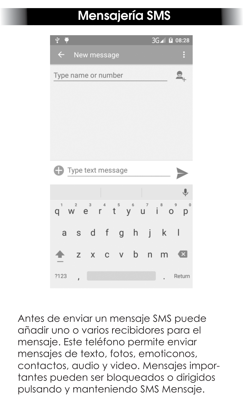## **Mensajería SMS**



Antes de enviar un mensaje SMS puede añadir uno o varios recibidores para el mensaje. Este teléfono permite enviar mensajes de texto, fotos, emoticonos, contactos, audio y video. Mensajes importantes pueden ser bloqueados o dirigidos pulsando y manteniendo SMS Mensaje.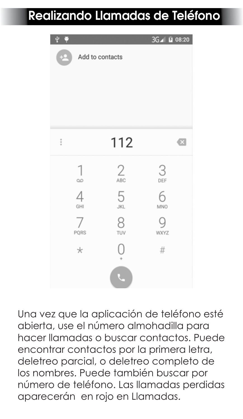## **Realizando Llamadas de Teléfono**

| $\frac{1}{2}$   |                 | 3G⊿ M 08:20 |           |
|-----------------|-----------------|-------------|-----------|
| $+2$            | Add to contacts |             |           |
|                 |                 |             |           |
|                 |                 |             |           |
|                 |                 |             |           |
|                 |                 |             |           |
|                 |                 |             |           |
| $\ddot{\dot{}}$ | 112             |             | $\bullet$ |
| 1               |                 | 3           |           |
| $\infty$        | 2               | DEF         |           |
| $\overline{4}$  | 5               | 6           |           |
| GHI             | <b>JKL</b>      | MNO         |           |
| 7               | 8               | g           |           |
| PQRS            | TUV             | <b>WXYZ</b> |           |
| $\star$         |                 | #           |           |
|                 |                 |             |           |
|                 |                 |             |           |

Una vez que la aplicación de teléfono esté abierta, use el número almohadilla para hacer llamadas o buscar contactos. Puede encontrar contactos por la primera letra, deletreo parcial, o deletreo completo de los nombres. Puede también buscar por número de teléfono. Las llamadas perdidas aparecerán en rojo en Llamadas.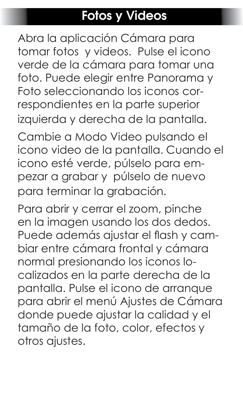#### **Fotos y Videos**

Abra la aplicación Cámara para tomar fotos y videos. Pulse el icono verde de la cámara para tomar una foto. Puede elegir entre Panorama y Foto seleccionando los iconos correspondientes en la parte superior izquierda y derecha de la pantalla.

Cambie a Modo Video pulsando el icono video de la pantalla. Cuando el icono esté verde, púlselo para empezar a grabar y púlselo de nuevo para terminar la grabación.

Para abrir y cerrar el zoom, pinche en la imagen usando los dos dedos. Puede además ajustar el flash y cambiar entre cámara frontal y cámara normal presionando los iconos localizados en la parte derecha de la pantalla. Pulse el icono de arranque para abrir el menú Ajustes de Cámara donde puede ajustar la calidad y el tamaño de la foto, color, efectos y otros ajustes.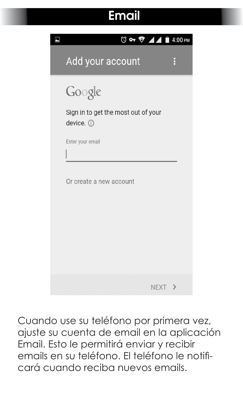#### **Email**

| <b>◎ ⊶ ♥ ⊿⊿ ■</b> 4:00 PM                     |  |
|-----------------------------------------------|--|
| Add your account                              |  |
| Google<br>Sign in to get the most out of your |  |
| device. 0                                     |  |
| Enter your email                              |  |
| Or create a new account                       |  |
|                                               |  |
| NEXT >                                        |  |

Cuando use su teléfono por primera vez, ajuste su cuenta de email en la aplicación Email. Esto le permitirá enviar y recibir emails en su teléfono. El teléfono le notificará cuando reciba nuevos emails.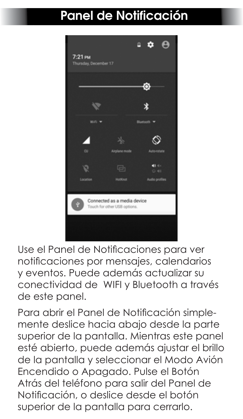#### **Panel de Notificación**



Use el Panel de Notificaciones para ver notificaciones por mensajes, calendarios y eventos. Puede además actualizar su conectividad de WIFI y Bluetooth a través de este panel.

Para abrir el Panel de Notificación simplemente deslice hacia abajo desde la parte superior de la pantalla. Mientras este panel esté abierto, puede además ajustar el brillo de la pantalla y seleccionar el Modo Avión Encendido o Apagado. Pulse el Botón Atrás del teléfono para salir del Panel de Notificación, o deslice desde el botón superior de la pantalla para cerrarlo.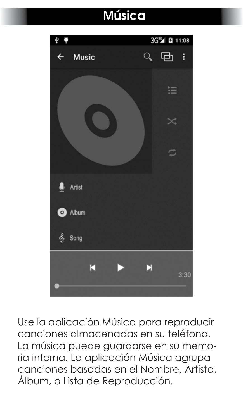## **Música**



Use la aplicación Música para reproducir canciones almacenadas en su teléfono. La música puede guardarse en su memoria interna. La aplicación Música agrupa canciones basadas en el Nombre, Artista, Álbum, o Lista de Reproducción.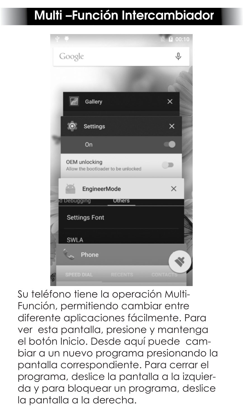## **Multi –Función Intercambiador**



Su teléfono tiene la operación Multi-Función, permitiendo cambiar entre diferente aplicaciones fácilmente. Para ver esta pantalla, presione y mantenga el botón Inicio. Desde aquí puede cambiar a un nuevo programa presionando la pantalla correspondiente. Para cerrar el programa, deslice la pantalla a la izquierda y para bloquear un programa, deslice la pantalla a la derecha.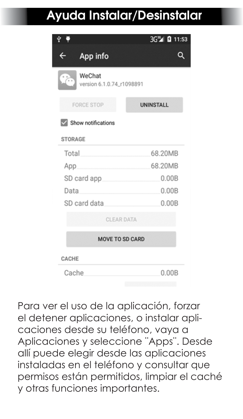## **Ayuda Instalar/Desinstalar**

|                                                         | 3G <sup>16</sup> 3 11:53 |  |  |  |
|---------------------------------------------------------|--------------------------|--|--|--|
| App info<br>$\leftarrow$                                |                          |  |  |  |
| WeChat<br>$\sum_{i=1}^{n}$<br>version 6.1.0.74_r1098891 |                          |  |  |  |
| <b>FORCE STOP</b>                                       | <b>UNINSTALL</b>         |  |  |  |
| Show notifications                                      |                          |  |  |  |
| <b>STORAGE</b>                                          |                          |  |  |  |
| Total                                                   | 68.20MB                  |  |  |  |
| App                                                     | 68.20MB                  |  |  |  |
| SD card app                                             | 0.00B                    |  |  |  |
| Data                                                    | 0.00B                    |  |  |  |
| SD card data                                            | 0.00B                    |  |  |  |
| <b>CLEAR DATA</b>                                       |                          |  |  |  |
| <b>MOVE TO SD CARD</b>                                  |                          |  |  |  |
| CACHE                                                   |                          |  |  |  |
| Cache                                                   | 0.00B                    |  |  |  |

Para ver el uso de la aplicación, forzar el detener aplicaciones, o instalar aplicaciones desde su teléfono, vaya a Aplicaciones y seleccione ¨Apps¨. Desde allí puede elegir desde las aplicaciones instaladas en el teléfono y consultar que permisos están permitidos, limpiar el caché y otras funciones importantes.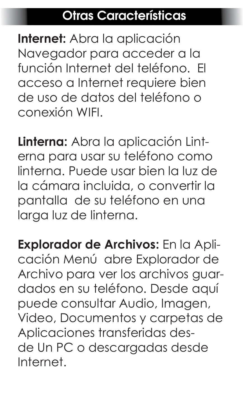#### **Otras Características**

**Internet:** Abra la aplicación Navegador para acceder a la función Internet del teléfono. El acceso a Internet requiere bien de uso de datos del teléfono o conexión WIFI.

**Linterna:** Abra la aplicación Linterna para usar su teléfono como linterna. Puede usar bien la luz de la cámara incluida, o convertir la pantalla de su teléfono en una larga luz de linterna.

**Explorador de Archivos:** En la Aplicación Menú abre Explorador de Archivo para ver los archivos guardados en su teléfono. Desde aquí puede consultar Audio, Imagen, Video, Documentos y carpetas de Aplicaciones transferidas desde Un PC o descargadas desde Internet.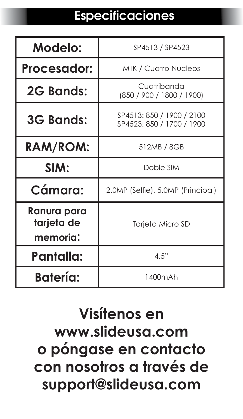## **Especificaciones**

| Modelo:                               | SP4513 / SP4523                                        |  |  |
|---------------------------------------|--------------------------------------------------------|--|--|
| Procesador:                           | <b>MTK / Cuatro Nucleos</b>                            |  |  |
| 2G Bands:                             | Cuatribanda<br>(850 / 900 / 1800 / 1900)               |  |  |
| <b>3G Bands:</b>                      | SP4513: 850 / 1900 / 2100<br>SP4523: 850 / 1700 / 1900 |  |  |
| RAM/ROM:                              | 512MB / 8GB                                            |  |  |
| SIM:                                  | Doble SIM                                              |  |  |
| Cámara:                               | 2.0MP (Selfie), 5.0MP (Principal)                      |  |  |
| Ranura para<br>tarjeta de<br>memoria: | Tarjeta Micro SD                                       |  |  |
| Pantalla:                             | 4.5"                                                   |  |  |
| <b>Batería:</b>                       | 1400mAh                                                |  |  |

## **Visítenos en www.slideusa.com o póngase en contacto con nosotros a través de support@slideusa.com**